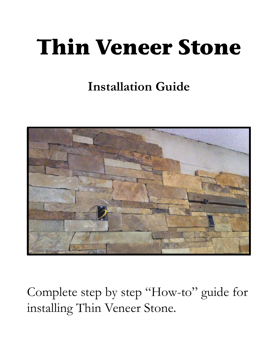# **Thin Veneer Stone**

# **Installation Guide**



Complete step by step "How-to" guide for installing Thin Veneer Stone.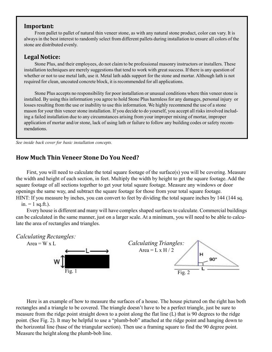# **Important:**

From pallet to pallet of natural thin veneer stone, as with any natural stone product, color can vary. It is always in the best interest to randomly select from different pallets during installation to ensure all colors of the stone are distributed evenly.

# Legal Notice:

Stone Plus, and their employees, do not claim to be professional masonry instructors or installers. These installation techniques are merely suggestions that tend to work with great success. If there is any question of whether or not to use metal lath, use it. Metal lath adds support for the stone and mortar. Although lath is not required for clean, uncoated concrete block, it is recommended for all applications.

Stone Plus accepts no responsibility for poor installation or unusual conditions where thin veneer stone is installed. By using this information you agree to hold Stone Plus harmless for any damages, personal injury or losses resulting from the use or inability to use this information. We highly recommend the use of a stone mason for your thin veneer stone installation. If you decide to do yourself, you accept all risks involved including a failed installation due to any circumstances arising from your improper mixing of mortar, improper application of mortar and/or stone, lack of using lath or failure to follow any building codes or safety recommendations.

*See inside back cover for basic installation concepts.*

# **How Much Thin Veneer Stone Do You Need?**

First, you will need to calculate the total square footage of the surface(s) you will be covering. Measure the width and height of each section, in feet. Multiply the width by height to get the square footage. Add the square footage of all sections together to get your total square footage. Measure any windows or door openings the same way, and subtract the square footage for those from your total square footage. HINT: If you measure by inches, you can convert to feet by dividing the total square inches by 144 (144 sq.

 $in. = 1$  sq.ft.).

Every house is different and many will have complex shaped surfaces to calculate. Commercial buildings can be calculated in the same manner, just on a larger scale. At a minimum, you will need to be able to calculate the area of rectangles and triangles.



Here is an example of how to measure the surfaces of a house. The house pictured on the right has both rectangles and a triangle to be covered. The triangle doesn't have to be a perfect triangle, just be sure to measure from the ridge point straight down to a point along the flat line (L) that is 90 degrees to the ridge point. (See Fig. 2). It may be helpful to use a "plumb-bob" attached at the ridge point and hanging down to the horizontal line (base of the triangular section). Then use a framing square to find the 90 degree point. Measure the height along the plumb-bob line.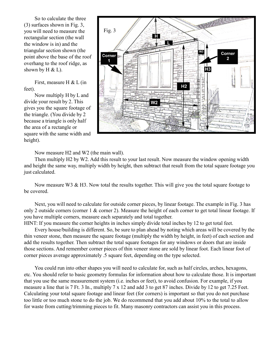So to calculate the three (3) surfaces shown in Fig. 3, you will need to measure the rectangular section (the wall the window is in) and the triangular section shown (the point above the base of the roof overhang to the roof ridge, as shown by  $H \& L$ ).

First, measure H & L (in feet).

Now multiply H by L and divide your result by 2. This gives you the square footage of the triangle. (You divide by 2 because a triangle is only half the area of a rectangle or square with the same width and height).



Now measure H2 and W2 (the main wall).

Then multiply H2 by W2. Add this result to your last result. Now measure the window opening width and height the same way, multiply width by height, then subtract that result from the total square footage you just calculated.

Now measure W3 & H3. Now total the results together. This will give you the total square footage to be covered.

Next, you will need to calculate for outside corner pieces, by linear footage. The example in Fig. 3 has only 2 outside corners (corner 1 & corner 2). Measure the height of each corner to get total linear footage. If you have multiple corners, measure each separately and total together.

HINT: If you measure the corner heights in inches simply divide total inches by 12 to get total feet.

Every house/building is different. So, be sure to plan ahead by noting which areas will be covered by the thin veneer stone, then measure the square footage (multiply the width by height, in feet) of each section and add the results together. Then subtract the total square footages for any windows or doors that are inside those sections. And remember corner pieces of thin veneer stone are sold by linear foot. Each linear foot of corner pieces average approximately .5 square feet, depending on the type selected.

You could run into other shapes you will need to calculate for, such as half circles, arches, hexagons, etc. You should refer to basic geometry formulas for information about how to calculate those. It is important that you use the same measurement system (i.e. inches or feet), to avoid confusion. For example, if you measure a line that is 7 Ft. 3 In., multiply 7 x 12 and add 3 to get 87 inches. Divide by 12 to get 7.25 Feet. Calculating your total square footage and linear feet (for corners) is important so that you do not purchase too little or too much stone to do the job. We do recommend that you add about 10% to the total to allow for waste from cutting/trimming pieces to fit. Many masonry contractors can assist you in this process.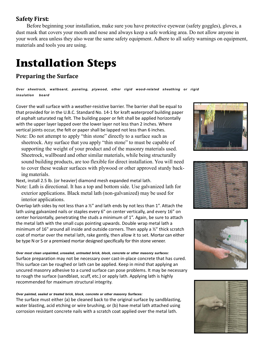# **Safety First:**

Before beginning your installation, make sure you have protective eyewear (safety goggles), gloves, a dust mask that covers your mouth and nose and always keep a safe working area. Do not allow anyone in your work area unless they also wear the same safety equipment. Adhere to all safety warnings on equipment, materials and tools you are using.

# **Installation Steps**

# **Preparing the Surface**

*Over sheetrock, wallboard, paneling, plywood, other rigid wood-related sheathing or rigid insulation board*

Cover the wall surface with a weather-resistive barrier. The barrier shall be equal to that provided for in the U.B.C. Standard No. 14-1 for kraft waterproof building paper of asphalt saturated rag felt. The building paper or felt shall be applied horizontally with the upper layer lapped over the lower layer not less than 2 inches. Where vertical joints occur, the felt or paper shall be lapped not less than 6 inches. Note: Do not attempt to apply "thin stone" directly to a surface such as

sheetrock. Any surface that you apply "thin stone" to must be capable of supporting the weight of your product and of the masonry materials used. Sheetrock, wallboard and other similar materials, while being structurally sound building products, are too flexible for direct installation. You will need to cover these weaker surfaces with plywood or other approved sturdy backing materials.

Next, install 2.5 lb. (or heavier) diamond mesh expanded metal lath.

Note: Lath is directional. It has a top and bottom side. Use galvanized lath for exterior applications. Black metal lath (non-galvanized) may be used for interior applications.

Overlap lath sides by not less than a  $\frac{1}{2}$ " and lath ends by not less than 1". Attach the lath using galvanized nails or staples every 6" on center vertically, and every 16" on center horizontally, penetrating the studs a minimum of 1". Again, be sure to attach the metal lath with the small cups pointing upwards. Double wrap metal lath a minimum of 16" around all inside and outside corners. Then apply a ½" thick scratch coat of mortar over the metal lath, rake gently, then allow it to set. Mortar can either be type N or S or a premixed mortar designed specifically for thin stone veneer.

*Over most clean unpainted, unsealed, untreated brick, block, concrete or other masonry surfaces:* Surface preparation may not be necessary over cast-in-place concrete that has cured. This surface can be roughed or lath can be applied. Keep in mind that applying an uncured masonry adhesive to a cured surface can pose problems. It may be necessary to rough the surface (sandblast, scuff, etc.) or apply lath. Applying lath is highly recommended for maximum structural integrity.

#### *Over painted, sealed or treated brick, block, concrete or other masonry Surfaces:*

The surface must either (a) be cleaned back to the original surface by sandblasting, water blasting, acid etching or wire brushing, or (b) have metal lath attached using corrosion resistant concrete nails with a scratch coat applied over the metal lath.







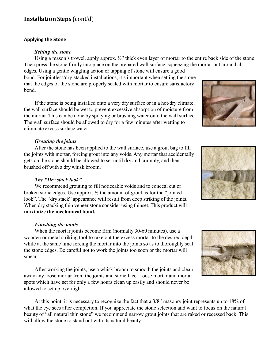# **Installation Steps** (cont'd)

#### **Applying the Stone**

#### *Setting the stone*

Using a mason's trowel, apply approx.  $\frac{1}{2}$ " thick even layer of mortar to the entire back side of the stone. Then press the stone firmly into place on the prepared wall surface, squeezing the mortar out around all edges. Using a gentle wiggling action or tapping of stone will ensure a good

bond. For jointless/dry-stacked installations, it's important when setting the stone that the edges of the stone are properly sealed with mortar to ensure satisfactory bond.

If the stone is being installed onto a very dry surface or in a hot/dry climate, the wall surface should be wet to prevent excessive absorption of moisture from the mortar. This can be done by spraying or brushing water onto the wall surface. The wall surface should be allowed to dry for a few minutes after wetting to eliminate excess surface water.

# *Grouting the joints*

After the stone has been applied to the wall surface, use a grout bag to fill the joints with mortar, forcing grout into any voids. Any mortar that accidentally gets on the stone should be allowed to set until dry and crumbly, and then brushed off with a dry whisk broom.

# *The "Dry stack look"*

We recommend grouting to fill noticeable voids and to conceal cut or broken stone edges. Use approx.  $\frac{1}{2}$  the amount of grout as for the "jointed" look". The "dry stack" appearance will result from deep striking of the joints. When dry stacking thin veneer stone consider using thinset. This product will **maximize the mechanical bond.**

# *Finishing the joints*

When the mortar joints become firm (normally 30-60 minutes), use a wooden or metal striking tool to rake out the excess mortar to the desired depth while at the same time forcing the mortar into the joints so as to thoroughly seal the stone edges. Be careful not to work the joints too soon or the mortar will smear.

After working the joints, use a whisk broom to smooth the joints and clean away any loose mortar from the joints and stone face. Loose mortar and mortar spots which have set for only a few hours clean up easily and should never be allowed to set up overnight.

At this point, it is necessary to recognize the fact that a 3/8" masonry joint represents up to 18% of what the eye sees after completion. If you appreciate the stone selection and want to focus on the natural beauty of "all natural thin stone" we recommend narrow grout joints that are raked or recessed back. This will allow the stone to stand out with its natural beauty.





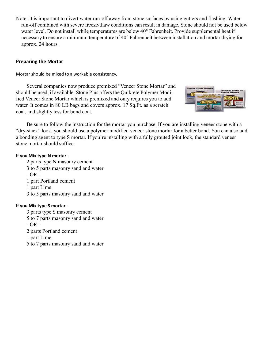Note: It is important to divert water run-off away from stone surfaces by using gutters and flashing. Water run-off combined with severe freeze/thaw conditions can result in damage. Stone should not be used below water level. Do not install while temperatures are below 40° Fahrenheit. Provide supplemental heat if necessary to ensure a minimum temperature of 40° Fahrenheit between installation and mortar drying for approx. 24 hours.

# **Preparing the Mortar**

Mortar should be mixed to a workable consistency.

Several companies now produce premixed "Veneer Stone Mortar" and should be used, if available. Stone Plus offers the Quikrete Polymer Modified Veneer Stone Mortar which is premixed and only requires you to add water. It comes in 80 LB bags and covers approx. 17 Sq.Ft. as a scratch coat, and slightly less for bond coat.



Be sure to follow the instruction for the mortar you purchase. If you are installing veneer stone with a "dry-stack" look, you should use a polymer modified veneer stone mortar for a better bond. You can also add a bonding agent to type S mortar. If you're installing with a fully grouted joint look, the standard veneer stone mortar should suffice.

# **If you Mix type N mortar -**

- 2 parts type N masonry cement
- 3 to 5 parts masonry sand and water
- $OR -$
- 1 part Portland cement
- 1 part Lime
- 3 to 5 parts masonry sand and water

# **If you Mix type S mortar -**

- 3 parts type S masonry cement
- 5 to 7 parts masonry sand and water
- OR -
- 2 parts Portland cement
- 1 part Lime
- 5 to 7 parts masonry sand and water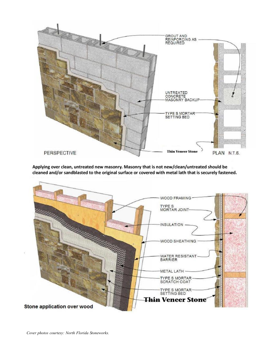

Applying over clean, untreated new masonry. Masonry that is not new/clean/untreated should be cleaned and/or sandblasted to the original surface or covered with metal lath that is securely fastened.